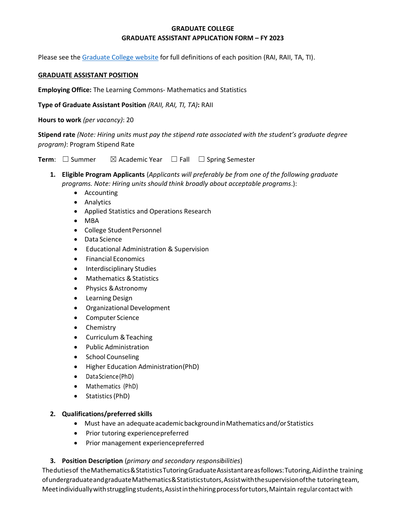# **GRADUATE COLLEGE GRADUATE ASSISTANT APPLICATION FORM – FY 2023**

Please see the [Graduate College website](https://www.bgsu.edu/content/dam/BGSU/graduate-college/GADocs/Grad-Col-GA-Position-Descriptions-21-22.pdf) for full definitions of each position (RAI, RAII, TA, TI).

#### **GRADUATE ASSISTANT POSITION**

**Employing Office:** The Learning Commons- Mathematics and Statistics

**Type of Graduate Assistant Position** *(RAII, RAI, TI, TA)***:** RAII

**Hours to work** *(per vacancy)*: 20

**Stipend rate** *(Note: Hiring units must pay the stipend rate associated with the student's graduate degree program)*: Program Stipend Rate

**Term**: □ Summer  $\boxtimes$  Academic Year □ Fall □ Spring Semester

- **1. Eligible Program Applicants** (*Applicants will preferably be from one of the following graduate programs. Note: Hiring units should think broadly about acceptable programs*.):
	- Accounting
	- Analytics
	- Applied Statistics and Operations Research
	- MBA
	- College Student Personnel
	- Data Science
	- Educational Administration & Supervision
	- Financial Economics
	- Interdisciplinary Studies
	- Mathematics & Statistics
	- Physics &Astronomy
	- Learning Design
	- Organizational Development
	- Computer Science
	- Chemistry
	- Curriculum &Teaching
	- Public Administration
	- School Counseling
	- Higher Education Administration(PhD)
	- DataScience(PhD)
	- Mathematics (PhD)
	- Statistics(PhD)

### **2. Qualifications/preferred skills**

- Must have an adequate academic background in Mathematics and/or Statistics
- Prior tutoring experiencepreferred
- Prior management experiencepreferred

# **3. Position Description** (*primary and secondary responsibilities*)

Thedutiesof theMathematics&StatisticsTutoringGraduateAssistantareasfollows:Tutoring,Aidinthe training ofundergraduateandgraduateMathematics&Statisticstutors,Assistwiththesupervisionofthe tutoringteam, Meet individually with struggling students, Assist in the hiring process for tutors, Maintain regular contact with